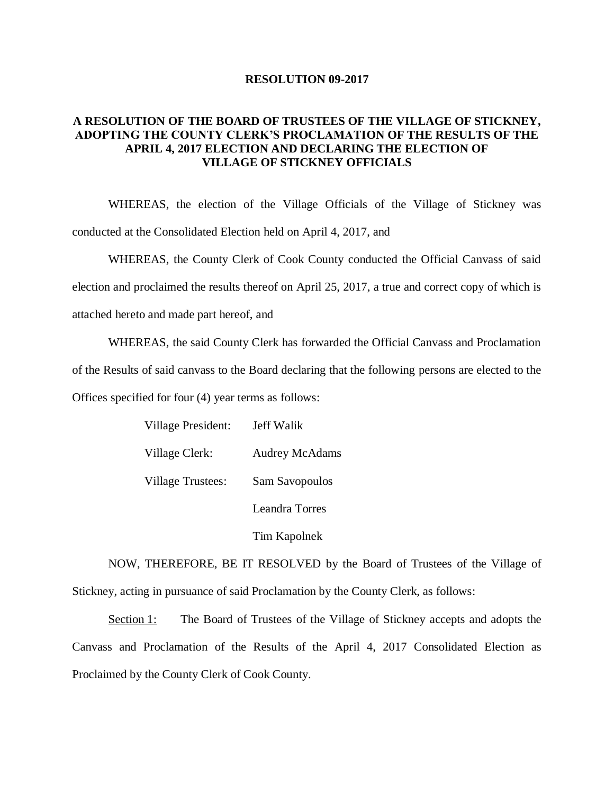## **RESOLUTION 09-2017**

## **A RESOLUTION OF THE BOARD OF TRUSTEES OF THE VILLAGE OF STICKNEY, ADOPTING THE COUNTY CLERK'S PROCLAMATION OF THE RESULTS OF THE APRIL 4, 2017 ELECTION AND DECLARING THE ELECTION OF VILLAGE OF STICKNEY OFFICIALS**

WHEREAS, the election of the Village Officials of the Village of Stickney was conducted at the Consolidated Election held on April 4, 2017, and

WHEREAS, the County Clerk of Cook County conducted the Official Canvass of said election and proclaimed the results thereof on April 25, 2017, a true and correct copy of which is attached hereto and made part hereof, and

WHEREAS, the said County Clerk has forwarded the Official Canvass and Proclamation of the Results of said canvass to the Board declaring that the following persons are elected to the

Offices specified for four (4) year terms as follows:

| Village President: | Jeff Walik            |
|--------------------|-----------------------|
| Village Clerk:     | <b>Audrey McAdams</b> |
| Village Trustees:  | Sam Savopoulos        |
|                    | Leandra Torres        |
|                    | Tim Kapolnek          |

NOW, THEREFORE, BE IT RESOLVED by the Board of Trustees of the Village of Stickney, acting in pursuance of said Proclamation by the County Clerk, as follows:

Section 1: The Board of Trustees of the Village of Stickney accepts and adopts the Canvass and Proclamation of the Results of the April 4, 2017 Consolidated Election as Proclaimed by the County Clerk of Cook County.